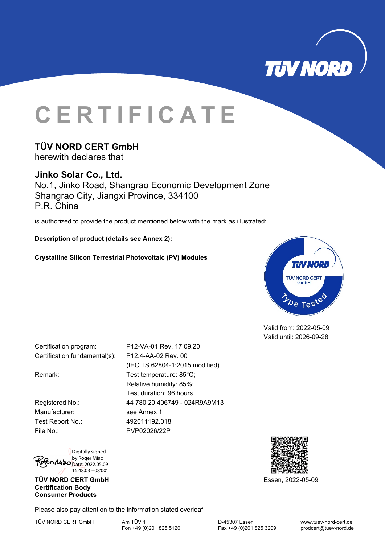

# **CERTIFICATE**

## **TÜV NORD CERT GmbH**

herewith declares that

## **Jinko Solar Co., Ltd.**

No.1, Jinko Road, Shangrao Economic Development Zone Shangrao City, Jiangxi Province, 334100 P.R. China

is authorized to provide the product mentioned below with the mark as illustrated:

(IEC TS 62804-1:2015 modified)

Relative humidity: 85%; Test duration: 96 hours.

**Description of product (details see Annex 2):** 

**Crystalline Silicon Terrestrial Photovoltaic (PV) Modules** 



Valid from: 2022-05-09 Valid until: 2026-09-28

Certification program: P12-VA-01 Rev. 17 09.20 Certification fundamental(s): P12.4-AA-02 Rev. 00

Remark: Test temperature: 85°C;

Registered No.: 44 780 20 406749 - 024R9A9M13 Manufacturer: see Annex 1 Test Report No.: 492011192.018 File No.: PVP02026/22P



**TÜV NORD CERT GmbH** Essen, 2022-05-09 **Certification Body Consumer Products** 

Please also pay attention to the information stated overleaf.

TÜV NORD CERT GmbH Am TÜV 1 Am TÜV 1<br>Fon +49 (0)201 825 5120 Fax +49 (0)201 825 3209 prodcert@tuev-nord.de

Fax +49 (0)201 825 3209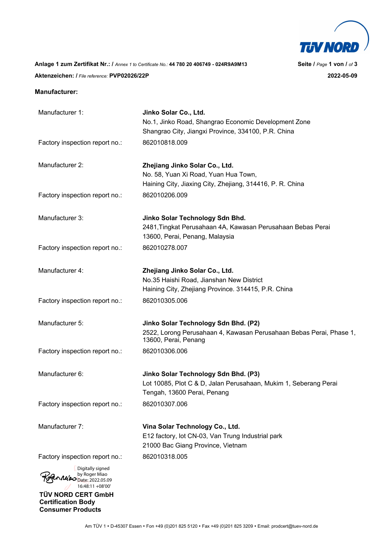

**Anlage 1 zum Zertifikat Nr.: /** *Annex 1 to Certificate No.:* **44 780 20 406749 - 024R9A9M13 Seite /** *Page* **1 von /** *of* **3 Aktenzeichen: /** *File reference:* **PVP02026/22P 2022-05-09** 

#### **Manufacturer:**

**Consumer Products** 

| Manufacturer 1:                                                           | Jinko Solar Co., Ltd.                                                                           |
|---------------------------------------------------------------------------|-------------------------------------------------------------------------------------------------|
|                                                                           | No.1, Jinko Road, Shangrao Economic Development Zone                                            |
|                                                                           | Shangrao City, Jiangxi Province, 334100, P.R. China                                             |
| Factory inspection report no.:                                            | 862010818.009                                                                                   |
| Manufacturer 2:                                                           | Zhejiang Jinko Solar Co., Ltd.                                                                  |
|                                                                           | No. 58, Yuan Xi Road, Yuan Hua Town,                                                            |
|                                                                           | Haining City, Jiaxing City, Zhejiang, 314416, P. R. China                                       |
| Factory inspection report no.:                                            | 862010206.009                                                                                   |
| Manufacturer 3:                                                           | Jinko Solar Technology Sdn Bhd.                                                                 |
|                                                                           | 2481, Tingkat Perusahaan 4A, Kawasan Perusahaan Bebas Perai<br>13600, Perai, Penang, Malaysia   |
| Factory inspection report no.:                                            | 862010278.007                                                                                   |
| Manufacturer 4:                                                           | Zhejiang Jinko Solar Co., Ltd.                                                                  |
|                                                                           | No.35 Haishi Road, Jianshan New District                                                        |
|                                                                           | Haining City, Zhejiang Province. 314415, P.R. China                                             |
| Factory inspection report no.:                                            | 862010305.006                                                                                   |
| Manufacturer 5:                                                           | Jinko Solar Technology Sdn Bhd. (P2)                                                            |
|                                                                           | 2522, Lorong Perusahaan 4, Kawasan Perusahaan Bebas Perai, Phase 1,<br>13600, Perai, Penang     |
| Factory inspection report no.:                                            | 862010306.006                                                                                   |
| Manufacturer 6:                                                           | Jinko Solar Technology Sdn Bhd. (P3)                                                            |
|                                                                           | Lot 10085, Plot C & D, Jalan Perusahaan, Mukim 1, Seberang Perai<br>Tengah, 13600 Perai, Penang |
| Factory inspection report no.:                                            | 862010307.006                                                                                   |
| Manufacturer 7:                                                           | Vina Solar Technology Co., Ltd.                                                                 |
|                                                                           | E12 factory, lot CN-03, Van Trung Industrial park                                               |
|                                                                           | 21000 Bac Giang Province, Vietnam                                                               |
| Factory inspection report no.:                                            | 862010318.005                                                                                   |
| Digitally signed<br>by Roger Miao<br>Date: 2022.05.09<br>16:48:11 +08'00' |                                                                                                 |
| TÜV NORD CERT GmbH                                                        |                                                                                                 |
| <b>Certification Body</b>                                                 |                                                                                                 |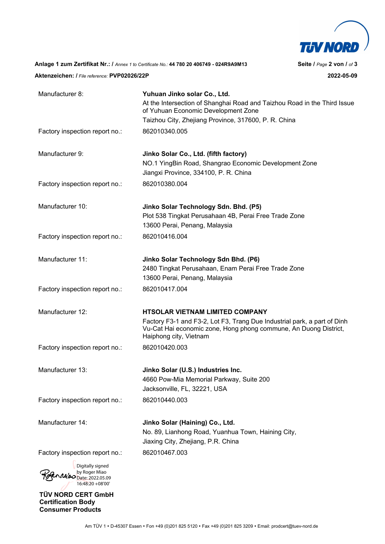

**Anlage 1 zum Zertifikat Nr.: /** *Annex 1 to Certificate No.:* **44 780 20 406749 - 024R9A9M13 Seite /** *Page* **2 von /** *of* **3** 

**Aktenzeichen: /** *File reference:* **PVP02026/22P 2022-05-09** 

| Manufacturer 8:                                                           | Yuhuan Jinko solar Co., Ltd.                                                                                                                                           |
|---------------------------------------------------------------------------|------------------------------------------------------------------------------------------------------------------------------------------------------------------------|
|                                                                           | At the Intersection of Shanghai Road and Taizhou Road in the Third Issue<br>of Yuhuan Economic Development Zone                                                        |
|                                                                           | Taizhou City, Zhejiang Province, 317600, P. R. China                                                                                                                   |
| Factory inspection report no.:                                            | 862010340.005                                                                                                                                                          |
| Manufacturer 9:                                                           | Jinko Solar Co., Ltd. (fifth factory)<br>NO.1 YingBin Road, Shangrao Economic Development Zone<br>Jiangxi Province, 334100, P. R. China                                |
| Factory inspection report no.:                                            | 862010380.004                                                                                                                                                          |
| Manufacturer 10:                                                          | Jinko Solar Technology Sdn. Bhd. (P5)<br>Plot 538 Tingkat Perusahaan 4B, Perai Free Trade Zone<br>13600 Perai, Penang, Malaysia                                        |
| Factory inspection report no.:                                            | 862010416.004                                                                                                                                                          |
| Manufacturer 11:                                                          | Jinko Solar Technology Sdn Bhd. (P6)<br>2480 Tingkat Perusahaan, Enam Perai Free Trade Zone<br>13600 Perai, Penang, Malaysia                                           |
| Factory inspection report no.:                                            | 862010417.004                                                                                                                                                          |
| Manufacturer 12:                                                          | <b>HTSOLAR VIETNAM LIMITED COMPANY</b>                                                                                                                                 |
|                                                                           | Factory F3-1 and F3-2, Lot F3, Trang Due Industrial park, a part of Dinh<br>Vu-Cat Hai economic zone, Hong phong commune, An Duong District,<br>Haiphong city, Vietnam |
| Factory inspection report no.:                                            | 862010420.003                                                                                                                                                          |
| Manufacturer 13:                                                          | Jinko Solar (U.S.) Industries Inc.<br>4660 Pow-Mia Memorial Parkway, Suite 200<br>Jacksonville, FL, 32221, USA                                                         |
| Factory inspection report no.:                                            | 862010440.003                                                                                                                                                          |
| Manufacturer 14:                                                          | Jinko Solar (Haining) Co., Ltd.<br>No. 89, Lianhong Road, Yuanhua Town, Haining City,<br>Jiaxing City, Zhejiang, P.R. China                                            |
| Factory inspection report no.:                                            | 862010467.003                                                                                                                                                          |
| Digitally signed<br>by Roger Miao<br>Date: 2022.05.09<br>16:48:20 +08'00' |                                                                                                                                                                        |
| TÜV NORD CERT GmbH                                                        |                                                                                                                                                                        |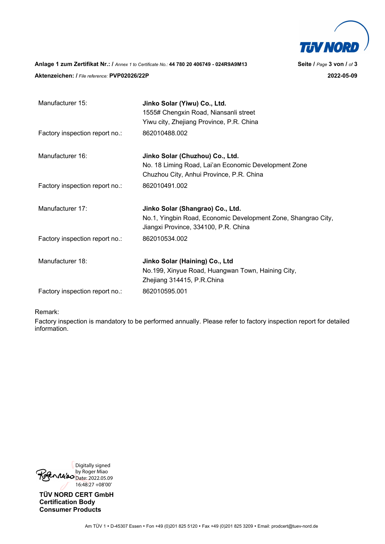

**Anlage 1 zum Zertifikat Nr.: /** *Annex 1 to Certificate No.:* **44 780 20 406749 - 024R9A9M13 Seite /** *Page* **3 von /** *of* **3 Aktenzeichen: /** *File reference:* **PVP02026/22P 2022-05-09** 

| Manufacturer 15:               | Jinko Solar (Yiwu) Co., Ltd.<br>1555# Chengxin Road, Niansanli street                                 |
|--------------------------------|-------------------------------------------------------------------------------------------------------|
|                                | Yiwu city, Zhejiang Province, P.R. China                                                              |
| Factory inspection report no.: | 862010488.002                                                                                         |
| Manufacturer 16:               | Jinko Solar (Chuzhou) Co., Ltd.                                                                       |
|                                | No. 18 Liming Road, Lai'an Economic Development Zone                                                  |
|                                | Chuzhou City, Anhui Province, P.R. China                                                              |
| Factory inspection report no.: | 862010491.002                                                                                         |
| Manufacturer 17:               | Jinko Solar (Shangrao) Co., Ltd.                                                                      |
|                                | No.1, Yingbin Road, Economic Development Zone, Shangrao City,<br>Jiangxi Province, 334100, P.R. China |
| Factory inspection report no.: | 862010534.002                                                                                         |
| Manufacturer 18:               | Jinko Solar (Haining) Co., Ltd                                                                        |
|                                | No.199, Xinyue Road, Huangwan Town, Haining City,                                                     |
|                                | Zhejiang 314415, P.R.China                                                                            |
| Factory inspection report no.: | 862010595.001                                                                                         |

#### Remark:

Factory inspection is mandatory to be performed annually. Please refer to factory inspection report for detailed information.

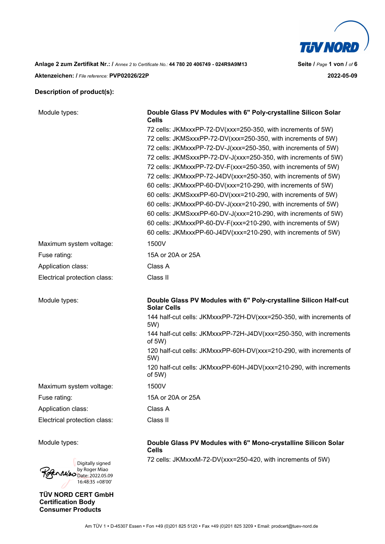

### **Description of product(s):**

| Module types:                | Double Glass PV Modules with 6" Poly-crystalline Silicon Solar<br><b>Cells</b>          |
|------------------------------|-----------------------------------------------------------------------------------------|
|                              | 72 cells: JKMxxxPP-72-DV(xxx=250-350, with increments of 5W)                            |
|                              | 72 cells: JKMSxxxPP-72-DV(xxx=250-350, with increments of 5W)                           |
|                              | 72 cells: JKMxxxPP-72-DV-J(xxx=250-350, with increments of 5W)                          |
|                              | 72 cells: JKMSxxxPP-72-DV-J(xxx=250-350, with increments of 5W)                         |
|                              | 72 cells: JKMxxxPP-72-DV-F(xxx=250-350, with increments of 5W)                          |
|                              | 72 cells: JKMxxxPP-72-J4DV(xxx=250-350, with increments of 5W)                          |
|                              | 60 cells: JKMxxxPP-60-DV(xxx=210-290, with increments of 5W)                            |
|                              | 60 cells: JKMSxxxPP-60-DV(xxx=210-290, with increments of 5W)                           |
|                              | 60 cells: JKMxxxPP-60-DV-J(xxx=210-290, with increments of 5W)                          |
|                              | 60 cells: JKMSxxxPP-60-DV-J(xxx=210-290, with increments of 5W)                         |
|                              | 60 cells: JKMxxxPP-60-DV-F(xxx=210-290, with increments of 5W)                          |
|                              | 60 cells: JKMxxxPP-60-J4DV(xxx=210-290, with increments of 5W)                          |
| Maximum system voltage:      | 1500V                                                                                   |
| Fuse rating:                 | 15A or 20A or 25A                                                                       |
| Application class:           | Class A                                                                                 |
| Electrical protection class: | Class II                                                                                |
| Module types:                | Double Glass PV Modules with 6" Poly-crystalline Silicon Half-cut<br><b>Solar Cells</b> |
|                              | 144 half-cut cells: JKMxxxPP-72H-DV(xxx=250-350, with increments of<br>5W)              |
|                              | 144 half-cut cells: JKMxxxPP-72H-J4DV(xxx=250-350, with increments<br>of $5W$ )         |
|                              | 120 half-cut cells: JKMxxxPP-60H-DV(xxx=210-290, with increments of<br>5W)              |
|                              | 120 half-cut cells: JKMxxxPP-60H-J4DV(xxx=210-290, with increments<br>of 5W)            |
| Maximum system voltage:      | 1500V                                                                                   |
| Fuse rating:                 | 15A or 20A or 25A                                                                       |
| Application class:           | Class A                                                                                 |
| Electrical protection class: | Class II                                                                                |
| Module types:                | Double Glass PV Modules with 6" Mono-crystalline Silicon Solar<br><b>Cells</b>          |
| Digitally signed             | 72 cells: JKMxxxM-72-DV(xxx=250-420, with increments of 5W)                             |

**TÜV NORD CERT GmbH Certification Body Consumer Products** 

by Roger Miao Date: 2022.05.09 16:48:35 +08'00'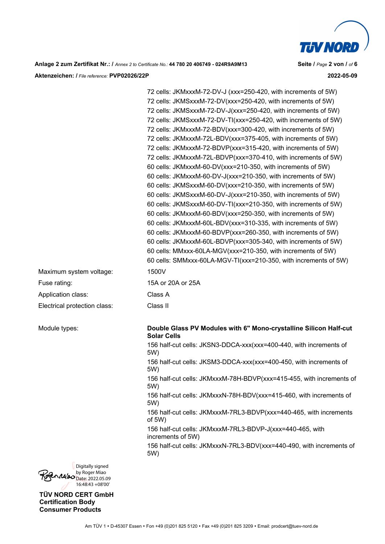

**Anlage 2 zum Zertifikat Nr.: /** *Annex 2 to Certificate No.:* **44 780 20 406749 - 024R9A9M13 Seite /** *Page* **2 von /** *of* **6 Aktenzeichen: /** *File reference:* **PVP02026/22P 2022-05-09** 

72 cells: JKMxxxM-72-DV-J (xxx=250-420, with increments of 5W) 72 cells: JKMSxxxM-72-DV(xxx=250-420, with increments of 5W) 72 cells: JKMSxxxM-72-DV-J(xxx=250-420, with increments of 5W) 72 cells: JKMSxxxM-72-DV-TI(xxx=250-420, with increments of 5W) 72 cells: JKMxxxM-72-BDV(xxx=300-420, with increments of 5W) 72 cells: JKMxxxM-72L-BDV(xxx=375-405, with increments of 5W) 72 cells: JKMxxxM-72-BDVP(xxx=315-420, with increments of 5W) 72 cells: JKMxxxM-72L-BDVP(xxx=370-410, with increments of 5W) 60 cells: JKMxxxM-60-DV(xxx=210-350, with increments of 5W) 60 cells: JKMxxxM-60-DV-J(xxx=210-350, with increments of 5W) 60 cells: JKMSxxxM-60-DV(xxx=210-350, with increments of 5W) 60 cells: JKMSxxxM-60-DV-J(xxx=210-350, with increments of 5W) 60 cells: JKMSxxxM-60-DV-TI(xxx=210-350, with increments of 5W) 60 cells: JKMxxxM-60-BDV(xxx=250-350, with increments of 5W) 60 cells: JKMxxxM-60L-BDV(xxx=310-335, with increments of 5W) 60 cells: JKMxxxM-60-BDVP(xxx=260-350, with increments of 5W) 60 cells: JKMxxxM-60L-BDVP(xxx=305-340, with increments of 5W) 60 cells: MMxxx-60LA-MGV(xxx=210-350, with increments of 5W) 60 cells: SMMxxx-60LA-MGV-TI(xxx=210-350, with increments of 5W) Maximum system voltage: 1500V Fuse rating: 15A or 20A or 25A Application class: Class A Electrical protection class: Class II Module types: **Double Glass PV Modules with 6" Mono-crystalline Silicon Half-cut Solar Cells** 156 half-cut cells: JKSN3-DDCA-xxx(xxx=400-440, with increments of 5W) 156 half-cut cells: JKSM3-DDCA-xxx(xxx=400-450, with increments of 5W) 156 half-cut cells: JKMxxxM-78H-BDVP(xxx=415-455, with increments of 5W) 156 half-cut cells: JKMxxxN-78H-BDV(xxx=415-460, with increments of 5W)

> 156 half-cut cells: JKMxxxM-7RL3-BDVP(xxx=440-465, with increments of 5W)

156 half-cut cells: JKMxxxM-7RL3-BDVP-J(xxx=440-465, with increments of 5W)

156 half-cut cells: JKMxxxN-7RL3-BDV(xxx=440-490, with increments of 5W)

Digitally signed by Roger Miao  $\mathcal{M}$ 420 Date: 2022.05.09 16:48:43 +08'00'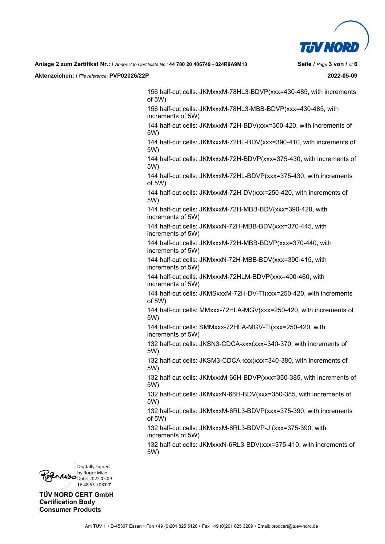

**Aktenzeichen: /** *File reference:* **PVP02026/22P 2022-05-09** 

156 half-cut cells: JKMxxxM-78HL3-BDVP(xxx=430-485, with increments of 5W)

156 half-cut cells: JKMxxxM-78HL3-MBB-BDVP(xxx=430-485, with increments of 5W)

144 half-cut cells: JKMxxxM-72H-BDV(xxx=300-420, with increments of 5W)

144 half-cut cells: JKMxxxM-72HL-BDV(xxx=390-410, with increments of 5W)

144 half-cut cells: JKMxxxM-72H-BDVP(xxx=375-430, with increments of 5W)

144 half-cut cells: JKMxxxM-72HL-BDVP(xxx=375-430, with increments of 5W)

144 half-cut cells: JKMxxxM-72H-DV(xxx=250-420, with increments of 5W)

144 half-cut cells: JKMxxxM-72H-MBB-BDV(xxx=390-420, with increments of 5W)

144 half-cut cells: JKMxxxN-72H-MBB-BDV(xxx=370-445, with increments of 5W)

144 half-cut cells: JKMxxxM-72H-MBB-BDVP(xxx=370-440, with increments of 5W)

144 half-cut cells: JKMxxxN-72H-MBB-BDV(xxx=390-415, with increments of 5W)

144 half-cut cells: JKMxxxM-72HLM-BDVP(xxx=400-460, with increments of 5W)

144 half-cut cells: JKMSxxxM-72H-DV-TI(xxx=250-420, with increments of 5W)

144 half-cut cells: MMxxx-72HLA-MGV(xxx=250-420, with increments of 5W)

144 half-cut cells: SMMxxx-72HLA-MGV-TI(xxx=250-420, with increments of 5W)

132 half-cut cells: JKSN3-CDCA-xxx(xxx=340-370, with increments of 5W)

132 half-cut cells: JKSM3-CDCA-xxx(xxx=340-380, with increments of 5W)

132 half-cut cells: JKMxxxM-66H-BDVP(xxx=350-385, with increments of 5W)

132 half-cut cells: JKMxxxN-66H-BDV(xxx=350-385, with increments of 5W)

132 half-cut cells: JKMxxxM-6RL3-BDVP(xxx=375-390, with increments of 5W)

132 half-cut cells: JKMxxxM-6RL3-BDVP-J (xxx=375-390, with increments of 5W)

132 half-cut cells: JKMxxxN-6RL3-BDV(xxx=375-410, with increments of 5W)

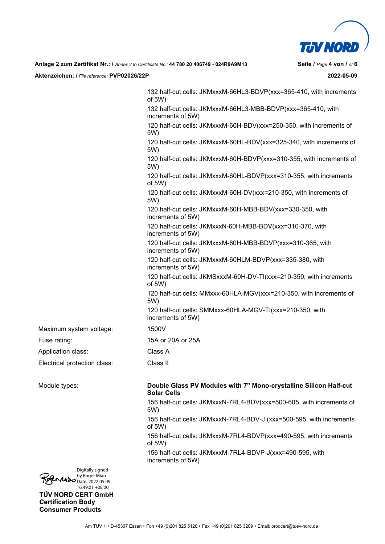

**Aktenzeichen: /** *File reference:* **PVP02026/22P 2022-05-09** 

132 half-cut cells: JKMxxxM-66HL3-BDVP(xxx=365-410, with increments of 5W) 132 half-cut cells: JKMxxxM-66HL3-MBB-BDVP(xxx=365-410, with increments of 5W) 120 half-cut cells: JKMxxxM-60H-BDV(xxx=250-350, with increments of 5W) 120 half-cut cells: JKMxxxM-60HL-BDV(xxx=325-340, with increments of 5W) 120 half-cut cells: JKMxxxM-60H-BDVP(xxx=310-355, with increments of 5W) 120 half-cut cells: JKMxxxM-60HL-BDVP(xxx=310-355, with increments of 5W) 120 half-cut cells: JKMxxxM-60H-DV(xxx=210-350, with increments of 5W) 120 half-cut cells: JKMxxxM-60H-MBB-BDV(xxx=330-350, with increments of 5W) 120 half-cut cells: JKMxxxN-60H-MBB-BDV(xxx=310-370, with increments of 5W) 120 half-cut cells: JKMxxxM-60H-MBB-BDVP(xxx=310-365, with increments of 5W) 120 half-cut cells: JKMxxxM-60HLM-BDVP(xxx=335-380, with increments of 5W) 120 half-cut cells: JKMSxxxM-60H-DV-TI(xxx=210-350, with increments of 5W) 120 half-cut cells: MMxxx-60HLA-MGV(xxx=210-350, with increments of 5W) 120 half-cut cells: SMMxxx-60HLA-MGV-TI(xxx=210-350, with increments of 5W)

Maximum system voltage: 1500V

Fuse rating: 15A or 20A or 25A

Application class: Class A

Electrical protection class: Class II

Module types: **Double Glass PV Modules with 7" Mono-crystalline Silicon Half-cut Solar Cells**

> 156 half-cut cells: JKMxxxN-7RL4-BDV(xxx=500-605, with increments of 5W)

> 156 half-cut cells: JKMxxxN-7RL4-BDV-J (xxx=500-595, with increments of 5W)

156 half-cut cells: JKMxxxM-7RL4-BDVP(xxx=490-595, with increments of 5W)

156 half-cut cells: JKMxxxM-7RL4-BDVP-J(xxx=490-595, with increments of 5W)

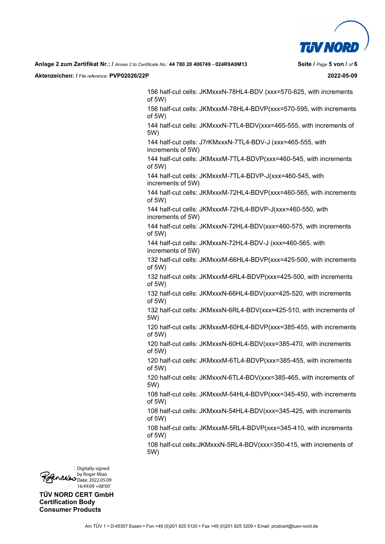

**Aktenzeichen: /** *File reference:* **PVP02026/22P 2022-05-09** 

156 half-cut cells: JKMxxxN-78HL4-BDV (xxx=570-625, with increments of 5W)

156 half-cut cells: JKMxxxM-78HL4-BDVP(xxx=570-595, with increments of 5W)

144 half-cut cells: JKMxxxN-7TL4-BDV(xxx=465-555, with increments of 5W)

144 half-cut cells: J7rKMxxxN-7TL4-BDV-J (xxx=465-555, with increments of 5W)

144 half-cut cells: JKMxxxM-7TL4-BDVP(xxx=460-545, with increments of 5W)

144 half-cut cells: JKMxxxM-7TL4-BDVP-J(xxx=460-545, with increments of 5W)

144 half-cut cells: JKMxxxM-72HL4-BDVP(xxx=460-565, with increments of 5W)

144 half-cut cells: JKMxxxM-72HL4-BDVP-J(xxx=460-550, with increments of 5W)

144 half-cut cells: JKMxxxN-72HL4-BDV(xxx=460-575, with increments of 5W)

144 half-cut cells: JKMxxxN-72HL4-BDV-J (xxx=460-565, with increments of 5W)

132 half-cut cells: JKMxxxM-66HL4-BDVP(xxx=425-500, with increments of 5W)

132 half-cut cells: JKMxxxM-6RL4-BDVP(xxx=425-500, with increments of 5W)

132 half-cut cells: JKMxxxN-66HL4-BDV(xxx=425-520, with increments of 5W)

132 half-cut cells: JKMxxxN-6RL4-BDV(xxx=425-510, with increments of 5W)

120 half-cut cells: JKMxxxM-60HL4-BDVP(xxx=385-455, with increments of 5W)

120 half-cut cells: JKMxxxN-60HL4-BDV(xxx=385-470, with increments of 5W)

120 half-cut cells: JKMxxxM-6TL4-BDVP(xxx=385-455, with increments of 5W)

120 half-cut cells: JKMxxxN-6TL4-BDV(xxx=385-465, with increments of 5W)

108 half-cut cells: JKMxxxM-54HL4-BDVP(xxx=345-450, with increments of 5W)

108 half-cut cells: JKMxxxN-54HL4-BDV(xxx=345-425, with increments of 5W)

108 half-cut cells: JKMxxxM-5RL4-BDVP(xxx=345-410, with increments of 5W)

108 half-cut cells:JKMxxxN-5RL4-BDV(xxx=350-415, with increments of 5W)